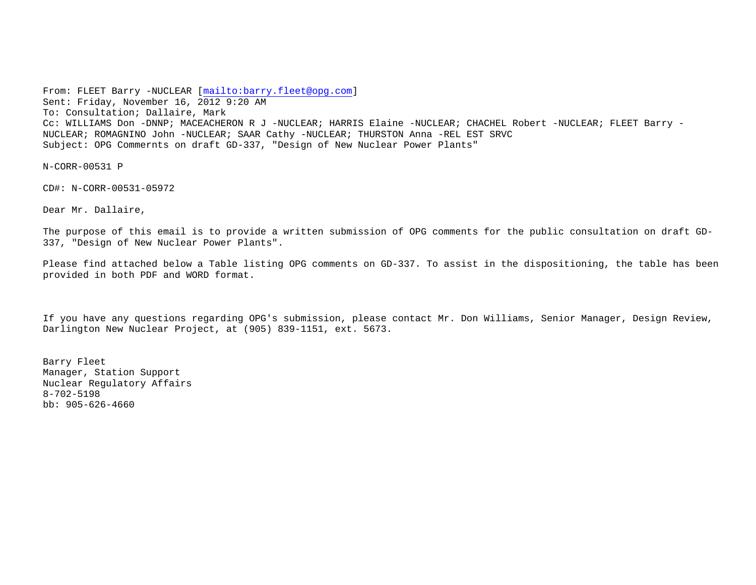From: FLEET Barry -NUCLEAR [<mailto:barry.fleet@opg.com>] Sent: Friday, November 16, 2012 9:20 AM To: Consultation; Dallaire, Mark Cc: WILLIAMS Don -DNNP; MACEACHERON R J -NUCLEAR; HARRIS Elaine -NUCLEAR; CHACHEL Robert -NUCLEAR; FLEET Barry - NUCLEAR; ROMAGNINO John -NUCLEAR; SAAR Cathy -NUCLEAR; THURSTON Anna -REL EST SRVC Subject: OPG Commernts on draft GD-337, "Design of New Nuclear Power Plants"

N-CORR-00531 P

CD#: N-CORR-00531-05972

Dear Mr. Dallaire,

The purpose of this email is to provide a written submission of OPG comments for the public consultation on draft GD-337, "Design of New Nuclear Power Plants".

Please find attached below a Table listing OPG comments on GD-337. To assist in the dispositioning, the table has been provided in both PDF and WORD format.

If you have any questions regarding OPG's submission, please contact Mr. Don Williams, Senior Manager, Design Review, Darlington New Nuclear Project, at (905) 839-1151, ext. 5673.

Barry Fleet Manager, Station Support Nuclear Regulatory Affairs 8-702-5198 bb: 905-626-4660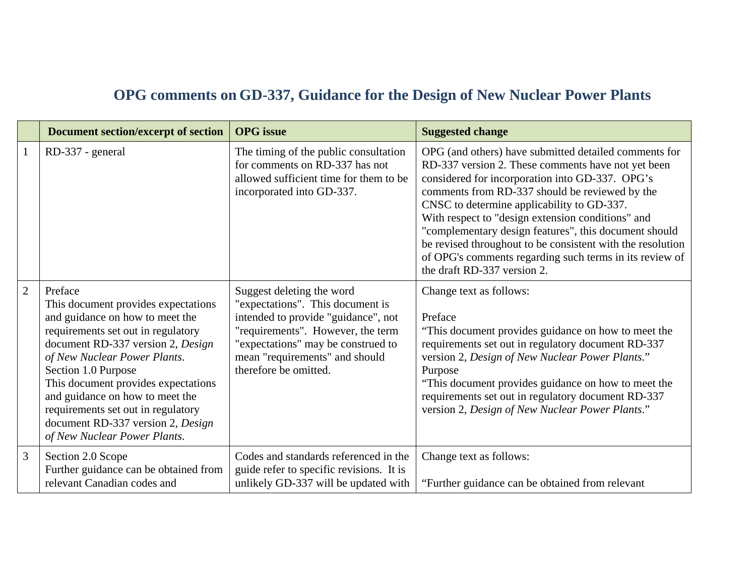## **OPG comments on GD-337, Guidance for the Design of New Nuclear Power Plants**

|                | <b>Document section/excerpt of section</b>                                                                                                                                                                                                                                                                                                                                                               | <b>OPG</b> issue                                                                                                                                                                                                                           | <b>Suggested change</b>                                                                                                                                                                                                                                                                                                                                                                                                                                                                                                              |
|----------------|----------------------------------------------------------------------------------------------------------------------------------------------------------------------------------------------------------------------------------------------------------------------------------------------------------------------------------------------------------------------------------------------------------|--------------------------------------------------------------------------------------------------------------------------------------------------------------------------------------------------------------------------------------------|--------------------------------------------------------------------------------------------------------------------------------------------------------------------------------------------------------------------------------------------------------------------------------------------------------------------------------------------------------------------------------------------------------------------------------------------------------------------------------------------------------------------------------------|
| $\mathbf{1}$   | RD-337 - general                                                                                                                                                                                                                                                                                                                                                                                         | The timing of the public consultation<br>for comments on RD-337 has not<br>allowed sufficient time for them to be<br>incorporated into GD-337.                                                                                             | OPG (and others) have submitted detailed comments for<br>RD-337 version 2. These comments have not yet been<br>considered for incorporation into GD-337. OPG's<br>comments from RD-337 should be reviewed by the<br>CNSC to determine applicability to GD-337.<br>With respect to "design extension conditions" and<br>"complementary design features", this document should<br>be revised throughout to be consistent with the resolution<br>of OPG's comments regarding such terms in its review of<br>the draft RD-337 version 2. |
| $\overline{2}$ | Preface<br>This document provides expectations<br>and guidance on how to meet the<br>requirements set out in regulatory<br>document RD-337 version 2, Design<br>of New Nuclear Power Plants.<br>Section 1.0 Purpose<br>This document provides expectations<br>and guidance on how to meet the<br>requirements set out in regulatory<br>document RD-337 version 2, Design<br>of New Nuclear Power Plants. | Suggest deleting the word<br>"expectations". This document is<br>intended to provide "guidance", not<br>"requirements". However, the term<br>"expectations" may be construed to<br>mean "requirements" and should<br>therefore be omitted. | Change text as follows:<br>Preface<br>"This document provides guidance on how to meet the<br>requirements set out in regulatory document RD-337<br>version 2, Design of New Nuclear Power Plants."<br>Purpose<br>"This document provides guidance on how to meet the<br>requirements set out in regulatory document RD-337<br>version 2, Design of New Nuclear Power Plants."                                                                                                                                                        |
| 3              | Section 2.0 Scope<br>Further guidance can be obtained from<br>relevant Canadian codes and                                                                                                                                                                                                                                                                                                                | Codes and standards referenced in the<br>guide refer to specific revisions. It is<br>unlikely GD-337 will be updated with                                                                                                                  | Change text as follows:<br>"Further guidance can be obtained from relevant                                                                                                                                                                                                                                                                                                                                                                                                                                                           |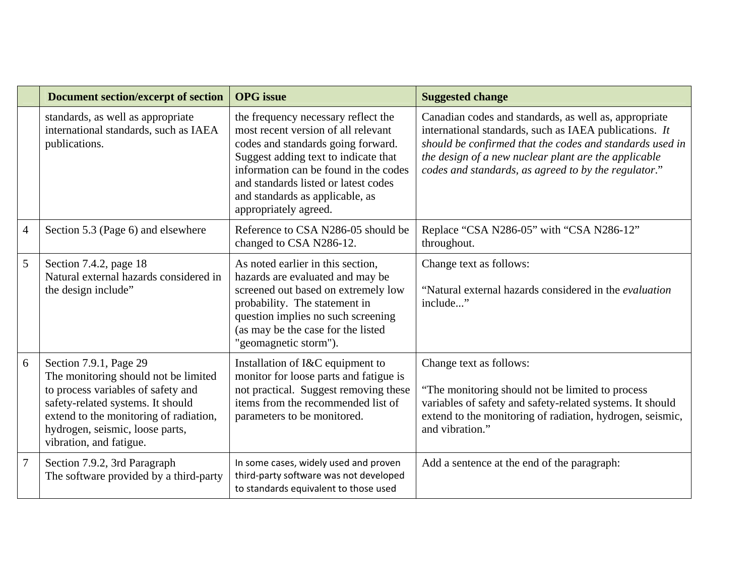|                | <b>Document section/excerpt of section</b>                                                                                                                                                                                                        | <b>OPG</b> issue                                                                                                                                                                                                                                                                                      | <b>Suggested change</b>                                                                                                                                                                                                                                                                     |
|----------------|---------------------------------------------------------------------------------------------------------------------------------------------------------------------------------------------------------------------------------------------------|-------------------------------------------------------------------------------------------------------------------------------------------------------------------------------------------------------------------------------------------------------------------------------------------------------|---------------------------------------------------------------------------------------------------------------------------------------------------------------------------------------------------------------------------------------------------------------------------------------------|
|                | standards, as well as appropriate<br>international standards, such as IAEA<br>publications.                                                                                                                                                       | the frequency necessary reflect the<br>most recent version of all relevant<br>codes and standards going forward.<br>Suggest adding text to indicate that<br>information can be found in the codes<br>and standards listed or latest codes<br>and standards as applicable, as<br>appropriately agreed. | Canadian codes and standards, as well as, appropriate<br>international standards, such as IAEA publications. It<br>should be confirmed that the codes and standards used in<br>the design of a new nuclear plant are the applicable<br>codes and standards, as agreed to by the regulator." |
| $\overline{4}$ | Section 5.3 (Page 6) and elsewhere                                                                                                                                                                                                                | Reference to CSA N286-05 should be<br>changed to CSA N286-12.                                                                                                                                                                                                                                         | Replace "CSA N286-05" with "CSA N286-12"<br>throughout.                                                                                                                                                                                                                                     |
| 5              | Section 7.4.2, page 18<br>Natural external hazards considered in<br>the design include"                                                                                                                                                           | As noted earlier in this section,<br>hazards are evaluated and may be<br>screened out based on extremely low<br>probability. The statement in<br>question implies no such screening<br>(as may be the case for the listed<br>"geomagnetic storm").                                                    | Change text as follows:<br>"Natural external hazards considered in the <i>evaluation</i><br>include"                                                                                                                                                                                        |
| 6              | Section 7.9.1, Page 29<br>The monitoring should not be limited<br>to process variables of safety and<br>safety-related systems. It should<br>extend to the monitoring of radiation,<br>hydrogen, seismic, loose parts,<br>vibration, and fatigue. | Installation of I&C equipment to<br>monitor for loose parts and fatigue is<br>not practical. Suggest removing these<br>items from the recommended list of<br>parameters to be monitored.                                                                                                              | Change text as follows:<br>"The monitoring should not be limited to process"<br>variables of safety and safety-related systems. It should<br>extend to the monitoring of radiation, hydrogen, seismic,<br>and vibration."                                                                   |
| $\overline{7}$ | Section 7.9.2, 3rd Paragraph<br>The software provided by a third-party                                                                                                                                                                            | In some cases, widely used and proven<br>third-party software was not developed<br>to standards equivalent to those used                                                                                                                                                                              | Add a sentence at the end of the paragraph:                                                                                                                                                                                                                                                 |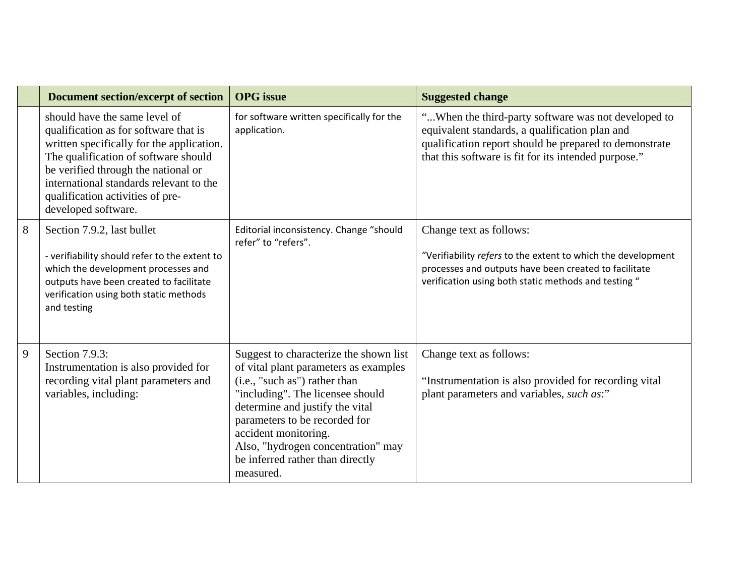|   | <b>Document section/excerpt of section</b>                                                                                                                                                                                                                                                               | <b>OPG</b> issue                                                                                                                                                                                                                                                                                                                        | <b>Suggested change</b>                                                                                                                                                                                                 |
|---|----------------------------------------------------------------------------------------------------------------------------------------------------------------------------------------------------------------------------------------------------------------------------------------------------------|-----------------------------------------------------------------------------------------------------------------------------------------------------------------------------------------------------------------------------------------------------------------------------------------------------------------------------------------|-------------------------------------------------------------------------------------------------------------------------------------------------------------------------------------------------------------------------|
|   | should have the same level of<br>qualification as for software that is<br>written specifically for the application.<br>The qualification of software should<br>be verified through the national or<br>international standards relevant to the<br>qualification activities of pre-<br>developed software. | for software written specifically for the<br>application.                                                                                                                                                                                                                                                                               | "When the third-party software was not developed to<br>equivalent standards, a qualification plan and<br>qualification report should be prepared to demonstrate<br>that this software is fit for its intended purpose." |
| 8 | Section 7.9.2, last bullet<br>- verifiability should refer to the extent to<br>which the development processes and<br>outputs have been created to facilitate<br>verification using both static methods<br>and testing                                                                                   | Editorial inconsistency. Change "should<br>refer" to "refers".                                                                                                                                                                                                                                                                          | Change text as follows:<br>"Verifiability refers to the extent to which the development<br>processes and outputs have been created to facilitate<br>verification using both static methods and testing "                |
| 9 | Section 7.9.3:<br>Instrumentation is also provided for<br>recording vital plant parameters and<br>variables, including:                                                                                                                                                                                  | Suggest to characterize the shown list<br>of vital plant parameters as examples<br>(i.e., "such as") rather than<br>"including". The licensee should<br>determine and justify the vital<br>parameters to be recorded for<br>accident monitoring.<br>Also, "hydrogen concentration" may<br>be inferred rather than directly<br>measured. | Change text as follows:<br>"Instrumentation is also provided for recording vital<br>plant parameters and variables, such as:"                                                                                           |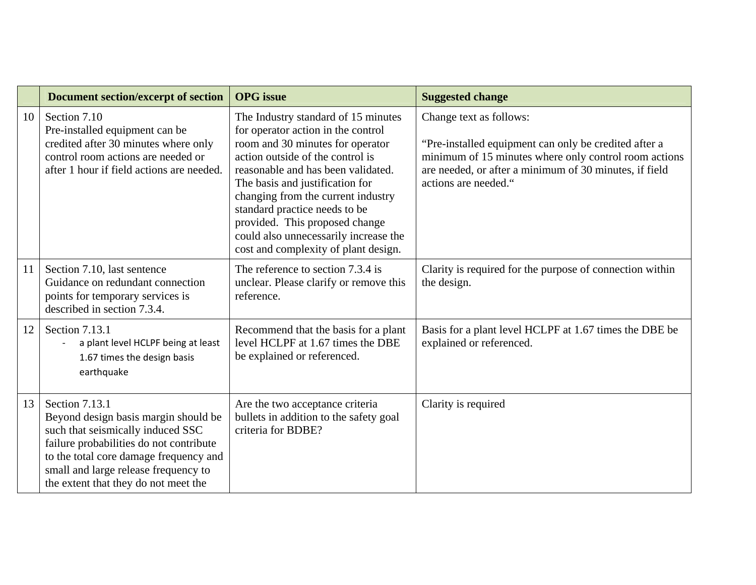|    | <b>Document section/excerpt of section</b>                                                                                                                                                                                                                       | <b>OPG</b> issue                                                                                                                                                                                                                                                                                                                                                                                                     | <b>Suggested change</b>                                                                                                                                                                                                     |
|----|------------------------------------------------------------------------------------------------------------------------------------------------------------------------------------------------------------------------------------------------------------------|----------------------------------------------------------------------------------------------------------------------------------------------------------------------------------------------------------------------------------------------------------------------------------------------------------------------------------------------------------------------------------------------------------------------|-----------------------------------------------------------------------------------------------------------------------------------------------------------------------------------------------------------------------------|
| 10 | Section 7.10<br>Pre-installed equipment can be<br>credited after 30 minutes where only<br>control room actions are needed or<br>after 1 hour if field actions are needed.                                                                                        | The Industry standard of 15 minutes<br>for operator action in the control<br>room and 30 minutes for operator<br>action outside of the control is<br>reasonable and has been validated.<br>The basis and justification for<br>changing from the current industry<br>standard practice needs to be<br>provided. This proposed change<br>could also unnecessarily increase the<br>cost and complexity of plant design. | Change text as follows:<br>"Pre-installed equipment can only be credited after a<br>minimum of 15 minutes where only control room actions<br>are needed, or after a minimum of 30 minutes, if field<br>actions are needed." |
| 11 | Section 7.10, last sentence<br>Guidance on redundant connection<br>points for temporary services is<br>described in section 7.3.4.                                                                                                                               | The reference to section 7.3.4 is<br>unclear. Please clarify or remove this<br>reference.                                                                                                                                                                                                                                                                                                                            | Clarity is required for the purpose of connection within<br>the design.                                                                                                                                                     |
| 12 | Section 7.13.1<br>a plant level HCLPF being at least<br>1.67 times the design basis<br>earthquake                                                                                                                                                                | Recommend that the basis for a plant<br>level HCLPF at 1.67 times the DBE<br>be explained or referenced.                                                                                                                                                                                                                                                                                                             | Basis for a plant level HCLPF at 1.67 times the DBE be<br>explained or referenced.                                                                                                                                          |
| 13 | Section 7.13.1<br>Beyond design basis margin should be<br>such that seismically induced SSC<br>failure probabilities do not contribute<br>to the total core damage frequency and<br>small and large release frequency to<br>the extent that they do not meet the | Are the two acceptance criteria<br>bullets in addition to the safety goal<br>criteria for BDBE?                                                                                                                                                                                                                                                                                                                      | Clarity is required                                                                                                                                                                                                         |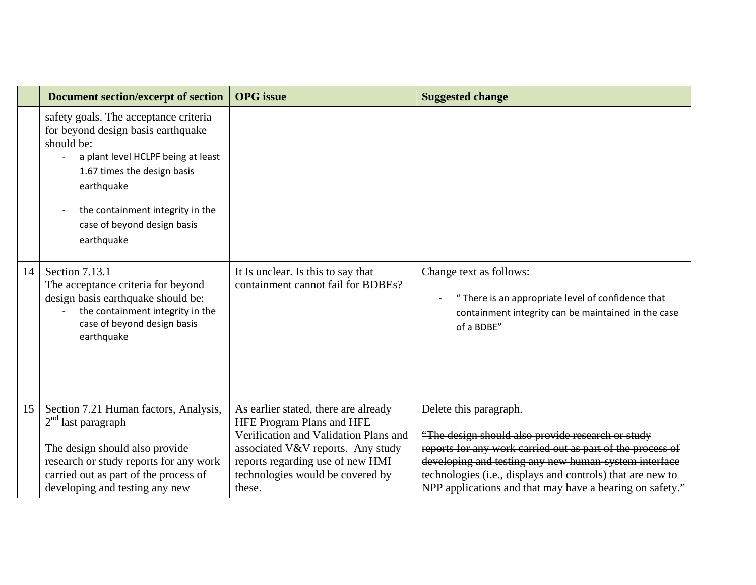|    | <b>Document section/excerpt of section</b>                                                                                                                                                                                                                    | <b>OPG</b> issue                                                                                                                                                                                                                         | <b>Suggested change</b>                                                                                                                                                                                                                                                                                                      |
|----|---------------------------------------------------------------------------------------------------------------------------------------------------------------------------------------------------------------------------------------------------------------|------------------------------------------------------------------------------------------------------------------------------------------------------------------------------------------------------------------------------------------|------------------------------------------------------------------------------------------------------------------------------------------------------------------------------------------------------------------------------------------------------------------------------------------------------------------------------|
|    | safety goals. The acceptance criteria<br>for beyond design basis earthquake<br>should be:<br>a plant level HCLPF being at least<br>1.67 times the design basis<br>earthquake<br>the containment integrity in the<br>case of beyond design basis<br>earthquake |                                                                                                                                                                                                                                          |                                                                                                                                                                                                                                                                                                                              |
| 14 | Section 7.13.1<br>The acceptance criteria for beyond<br>design basis earthquake should be:<br>the containment integrity in the<br>case of beyond design basis<br>earthquake                                                                                   | It Is unclear. Is this to say that<br>containment cannot fail for BDBEs?                                                                                                                                                                 | Change text as follows:<br>"There is an appropriate level of confidence that<br>containment integrity can be maintained in the case<br>of a BDBE"                                                                                                                                                                            |
| 15 | Section 7.21 Human factors, Analysis,<br>$2nd$ last paragraph<br>The design should also provide<br>research or study reports for any work<br>carried out as part of the process of<br>developing and testing any new                                          | As earlier stated, there are already<br><b>HFE Program Plans and HFE</b><br>Verification and Validation Plans and<br>associated V&V reports. Any study<br>reports regarding use of new HMI<br>technologies would be covered by<br>these. | Delete this paragraph.<br>"The design should also provide research or study<br>reports for any work carried out as part of the process of<br>developing and testing any new human system interface<br>technologies (i.e., displays and controls) that are new to<br>NPP applications and that may have a bearing on safety." |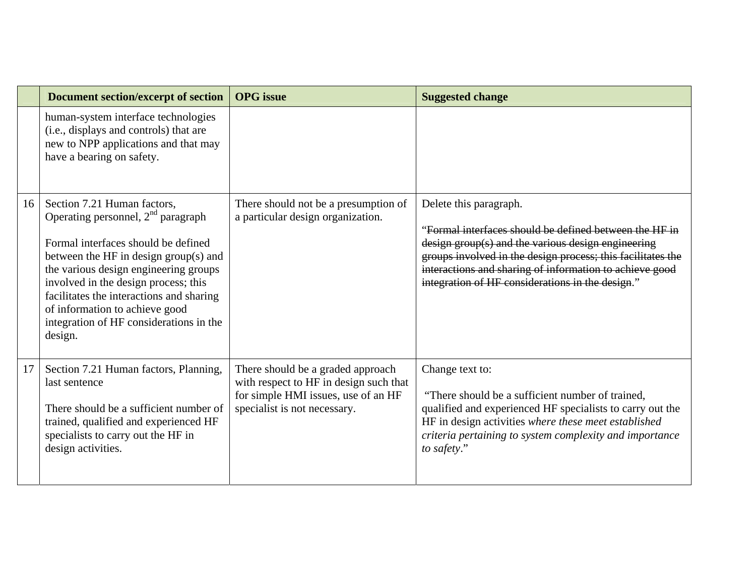|    | <b>Document section/excerpt of section</b>                                                                                                                                                                                                                                                                                                                               | <b>OPG</b> issue                                                                                                                                   | <b>Suggested change</b>                                                                                                                                                                                                                                                                                              |
|----|--------------------------------------------------------------------------------------------------------------------------------------------------------------------------------------------------------------------------------------------------------------------------------------------------------------------------------------------------------------------------|----------------------------------------------------------------------------------------------------------------------------------------------------|----------------------------------------------------------------------------------------------------------------------------------------------------------------------------------------------------------------------------------------------------------------------------------------------------------------------|
|    | human-system interface technologies<br>(i.e., displays and controls) that are<br>new to NPP applications and that may<br>have a bearing on safety.                                                                                                                                                                                                                       |                                                                                                                                                    |                                                                                                                                                                                                                                                                                                                      |
| 16 | Section 7.21 Human factors,<br>Operating personnel, $2nd$ paragraph<br>Formal interfaces should be defined<br>between the HF in design group(s) and<br>the various design engineering groups<br>involved in the design process; this<br>facilitates the interactions and sharing<br>of information to achieve good<br>integration of HF considerations in the<br>design. | There should not be a presumption of<br>a particular design organization.                                                                          | Delete this paragraph.<br>"Formal interfaces should be defined between the HF in<br>design group(s) and the various design engineering<br>groups involved in the design process; this facilitates the<br>interactions and sharing of information to achieve good<br>integration of HF considerations in the design." |
| 17 | Section 7.21 Human factors, Planning,<br>last sentence<br>There should be a sufficient number of<br>trained, qualified and experienced HF<br>specialists to carry out the HF in<br>design activities.                                                                                                                                                                    | There should be a graded approach<br>with respect to HF in design such that<br>for simple HMI issues, use of an HF<br>specialist is not necessary. | Change text to:<br>"There should be a sufficient number of trained,<br>qualified and experienced HF specialists to carry out the<br>HF in design activities where these meet established<br>criteria pertaining to system complexity and importance<br>to safety."                                                   |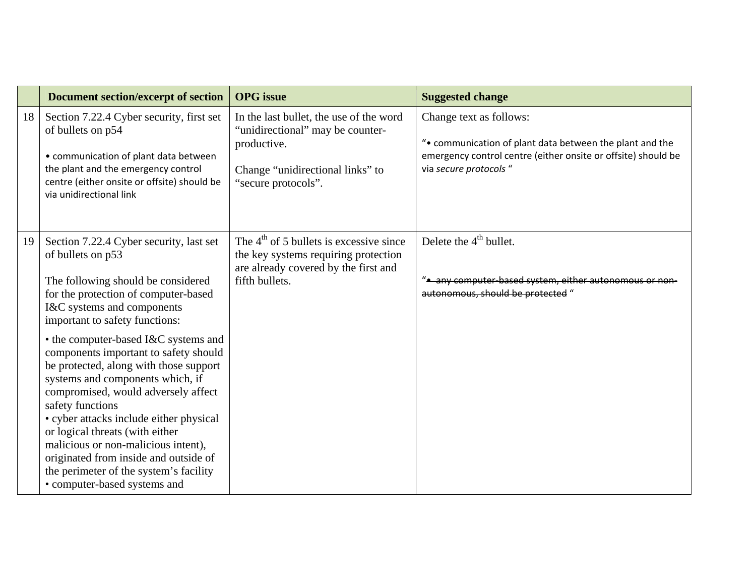|    | <b>Document section/excerpt of section</b>                                                                                                                                                                                                                                                                                                                                                                                                                     | <b>OPG</b> issue                                                                                                                                      | <b>Suggested change</b>                                                                                                                                                        |
|----|----------------------------------------------------------------------------------------------------------------------------------------------------------------------------------------------------------------------------------------------------------------------------------------------------------------------------------------------------------------------------------------------------------------------------------------------------------------|-------------------------------------------------------------------------------------------------------------------------------------------------------|--------------------------------------------------------------------------------------------------------------------------------------------------------------------------------|
| 18 | Section 7.22.4 Cyber security, first set<br>of bullets on p54<br>• communication of plant data between<br>the plant and the emergency control<br>centre (either onsite or offsite) should be<br>via unidirectional link                                                                                                                                                                                                                                        | In the last bullet, the use of the word<br>"unidirectional" may be counter-<br>productive.<br>Change "unidirectional links" to<br>"secure protocols". | Change text as follows:<br>". communication of plant data between the plant and the<br>emergency control centre (either onsite or offsite) should be<br>via secure protocols " |
| 19 | Section 7.22.4 Cyber security, last set<br>of bullets on p53<br>The following should be considered<br>for the protection of computer-based<br>I&C systems and components<br>important to safety functions:                                                                                                                                                                                                                                                     | The 4 <sup>th</sup> of 5 bullets is excessive since<br>the key systems requiring protection<br>are already covered by the first and<br>fifth bullets. | Delete the $4th$ bullet.<br>". any computer-based system, either autonomous or non-<br>autonomous, should be protected "                                                       |
|    | • the computer-based I&C systems and<br>components important to safety should<br>be protected, along with those support<br>systems and components which, if<br>compromised, would adversely affect<br>safety functions<br>• cyber attacks include either physical<br>or logical threats (with either<br>malicious or non-malicious intent),<br>originated from inside and outside of<br>the perimeter of the system's facility<br>• computer-based systems and |                                                                                                                                                       |                                                                                                                                                                                |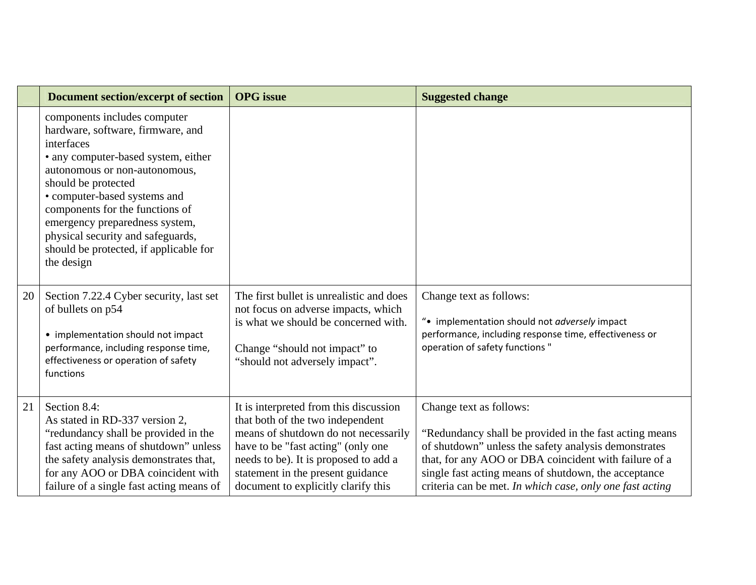|    | <b>Document section/excerpt of section</b>                                                                                                                                                                                                                                                                                                                                       | <b>OPG</b> issue                                                                                                                                                                                                                                                              | <b>Suggested change</b>                                                                                                                                                                                                                                                                                                 |
|----|----------------------------------------------------------------------------------------------------------------------------------------------------------------------------------------------------------------------------------------------------------------------------------------------------------------------------------------------------------------------------------|-------------------------------------------------------------------------------------------------------------------------------------------------------------------------------------------------------------------------------------------------------------------------------|-------------------------------------------------------------------------------------------------------------------------------------------------------------------------------------------------------------------------------------------------------------------------------------------------------------------------|
|    | components includes computer<br>hardware, software, firmware, and<br>interfaces<br>• any computer-based system, either<br>autonomous or non-autonomous,<br>should be protected<br>• computer-based systems and<br>components for the functions of<br>emergency preparedness system,<br>physical security and safeguards,<br>should be protected, if applicable for<br>the design |                                                                                                                                                                                                                                                                               |                                                                                                                                                                                                                                                                                                                         |
| 20 | Section 7.22.4 Cyber security, last set<br>of bullets on p54<br>• implementation should not impact<br>performance, including response time,<br>effectiveness or operation of safety<br>functions                                                                                                                                                                                 | The first bullet is unrealistic and does<br>not focus on adverse impacts, which<br>is what we should be concerned with.<br>Change "should not impact" to<br>"should not adversely impact".                                                                                    | Change text as follows:<br>". implementation should not adversely impact<br>performance, including response time, effectiveness or<br>operation of safety functions"                                                                                                                                                    |
| 21 | Section 8.4:<br>As stated in RD-337 version 2,<br>"redundancy shall be provided in the<br>fast acting means of shutdown" unless<br>the safety analysis demonstrates that,<br>for any AOO or DBA coincident with<br>failure of a single fast acting means of                                                                                                                      | It is interpreted from this discussion<br>that both of the two independent<br>means of shutdown do not necessarily<br>have to be "fast acting" (only one<br>needs to be). It is proposed to add a<br>statement in the present guidance<br>document to explicitly clarify this | Change text as follows:<br>"Redundancy shall be provided in the fast acting means"<br>of shutdown" unless the safety analysis demonstrates<br>that, for any AOO or DBA coincident with failure of a<br>single fast acting means of shutdown, the acceptance<br>criteria can be met. In which case, only one fast acting |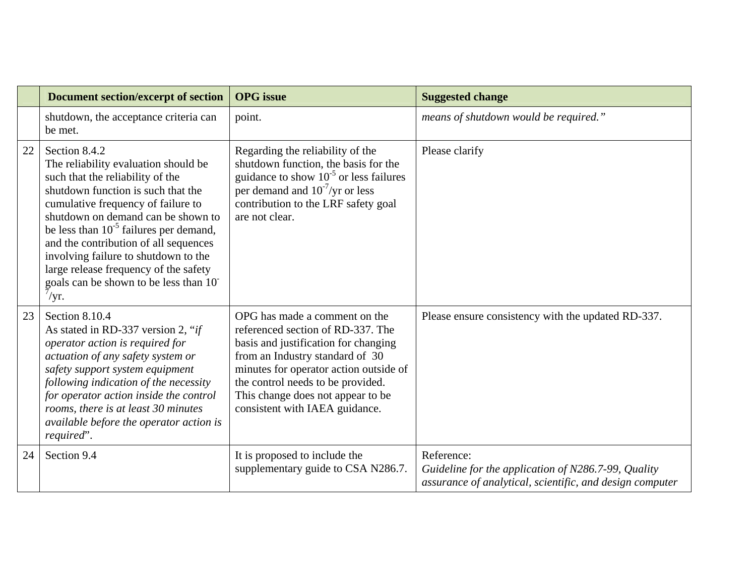|    | <b>Document section/excerpt of section</b>                                                                                                                                                                                                                                                                                                                                                                                                              | <b>OPG</b> issue                                                                                                                                                                                                                                                                                    | <b>Suggested change</b>                                                                                                       |
|----|---------------------------------------------------------------------------------------------------------------------------------------------------------------------------------------------------------------------------------------------------------------------------------------------------------------------------------------------------------------------------------------------------------------------------------------------------------|-----------------------------------------------------------------------------------------------------------------------------------------------------------------------------------------------------------------------------------------------------------------------------------------------------|-------------------------------------------------------------------------------------------------------------------------------|
|    | shutdown, the acceptance criteria can<br>be met.                                                                                                                                                                                                                                                                                                                                                                                                        | point.                                                                                                                                                                                                                                                                                              | means of shutdown would be required."                                                                                         |
| 22 | Section 8.4.2<br>The reliability evaluation should be<br>such that the reliability of the<br>shutdown function is such that the<br>cumulative frequency of failure to<br>shutdown on demand can be shown to<br>be less than $10^{-5}$ failures per demand,<br>and the contribution of all sequences<br>involving failure to shutdown to the<br>large release frequency of the safety<br>goals can be shown to be less than 10<br>$\sqrt{\mathrm{yr}}$ . | Regarding the reliability of the<br>shutdown function, the basis for the<br>guidance to show $10^{-5}$ or less failures<br>per demand and $10^{-7}$ /yr or less<br>contribution to the LRF safety goal<br>are not clear.                                                                            | Please clarify                                                                                                                |
| 23 | Section 8.10.4<br>As stated in RD-337 version 2, "if<br>operator action is required for<br>actuation of any safety system or<br>safety support system equipment<br>following indication of the necessity<br>for operator action inside the control<br>rooms, there is at least 30 minutes<br>available before the operator action is<br>required".                                                                                                      | OPG has made a comment on the<br>referenced section of RD-337. The<br>basis and justification for changing<br>from an Industry standard of 30<br>minutes for operator action outside of<br>the control needs to be provided.<br>This change does not appear to be<br>consistent with IAEA guidance. | Please ensure consistency with the updated RD-337.                                                                            |
| 24 | Section 9.4                                                                                                                                                                                                                                                                                                                                                                                                                                             | It is proposed to include the<br>supplementary guide to CSA N286.7.                                                                                                                                                                                                                                 | Reference:<br>Guideline for the application of N286.7-99, Quality<br>assurance of analytical, scientific, and design computer |